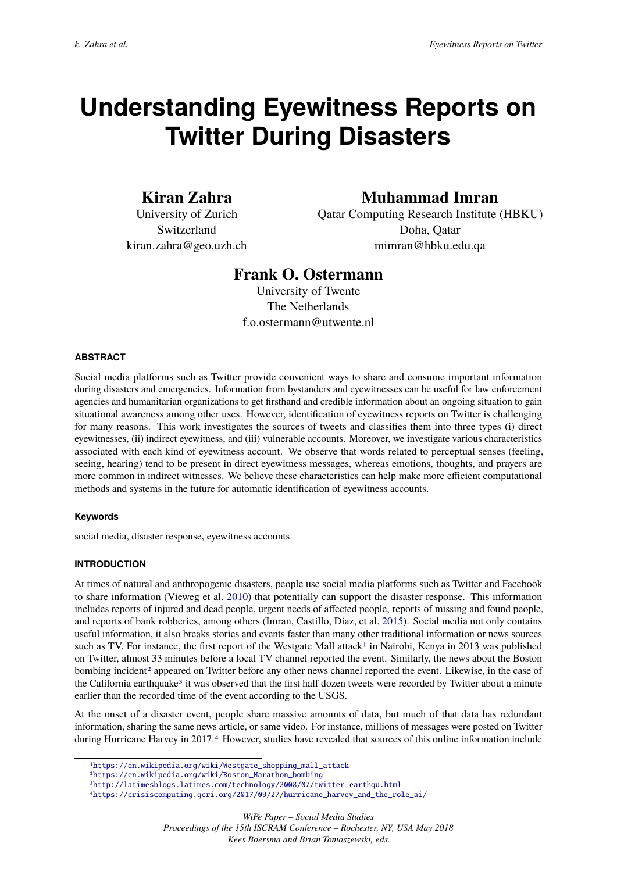# <span id="page-0-0"></span>**Understanding Eyewitness Reports on Twitter During Disasters**

# **Kiran Zahra**

University of Zurich Switzerland kiran.zahra@geo.uzh.ch

# **Muhammad Imran**

Qatar Computing Research Institute (HBKU) Doha, Qatar mimran@hbku.edu.qa

# **Frank O. Ostermann**

University of Twente The Netherlands f.o.ostermann@utwente.nl

# **ABSTRACT**

Social media platforms such as Twitter provide convenient ways to share and consume important information during disasters and emergencies. Information from bystanders and eyewitnesses can be useful for law enforcement agencies and humanitarian organizations to get firsthand and credible information about an ongoing situation to gain situational awareness among other uses. However, identification of eyewitness reports on Twitter is challenging for many reasons. This work investigates the sources of tweets and classifies them into three types (i) direct eyewitnesses, (ii) indirect eyewitness, and (iii) vulnerable accounts. Moreover, we investigate various characteristics associated with each kind of eyewitness account. We observe that words related to perceptual senses (feeling, seeing, hearing) tend to be present in direct eyewitness messages, whereas emotions, thoughts, and prayers are more common in indirect witnesses. We believe these characteristics can help make more efficient computational methods and systems in the future for automatic identification of eyewitness accounts.

# **Keywords**

social media, disaster response, eyewitness accounts

# **INTRODUCTION**

At times of natural and anthropogenic disasters, people use social media platforms such as Twitter and Facebook to share information (Vieweg et al. [2010\)](#page-8-0) that potentially can support the disaster response. This information includes reports of injured and dead people, urgent needs of affected people, reports of missing and found people, and reports of bank robberies, among others (Imran, Castillo, Diaz, et al. [2015\)](#page-7-0). Social media not only contains useful information, it also breaks stories and events faster than many other traditional information or news sources such as TV. For instance, the first report of the Westgate Mall attack<sup>1</sup> in Nairobi, Kenya in 2013 was published on Twitter, almost 33 minutes before a local TV channel reported the event. Similarly, the news about the Boston bombing incident<sup>2</sup> appeared on Twitter before any other news channel reported the event. Likewise, in the case of the California earthquake<sup>3</sup> it was observed that the first half dozen tweets were recorded by Twitter about a minute earlier than the recorded time of the event according to the USGS.

At the onset of a disaster event, people share massive amounts of data, but much of that data has redundant information, sharing the same news article, or same video. For instance, millions of messages were posted on Twitter during Hurricane Harvey in 2017.<sup>4</sup> However, studies have revealed that sources of this online information include

4[https://crisiscomputing.qcri.org/2017/09/27/hurricane\\_harvey\\_and\\_the\\_role\\_ai/](https://crisiscomputing.qcri.org/2017/09/27/hurricane_harvey_and_the_role_ai/)

*WiPe Paper – Social Media Studies*

*Proceedings of the 15th ISCRAM Conference – Rochester, NY, USA May 2018 Kees Boersma and Brian Tomaszewski, eds.*

<sup>1</sup>[https://en.wikipedia.org/wiki/Westgate\\_shopping\\_mall\\_attack](https://en.wikipedia.org/wiki/Westgate_shopping_mall_attack)

<sup>2</sup>[https://en.wikipedia.org/wiki/Boston\\_Marathon\\_bombing](https://en.wikipedia.org/wiki/Boston_Marathon_bombing)

<sup>3</sup><http://latimesblogs.latimes.com/technology/2008/07/twitter-earthqu.html>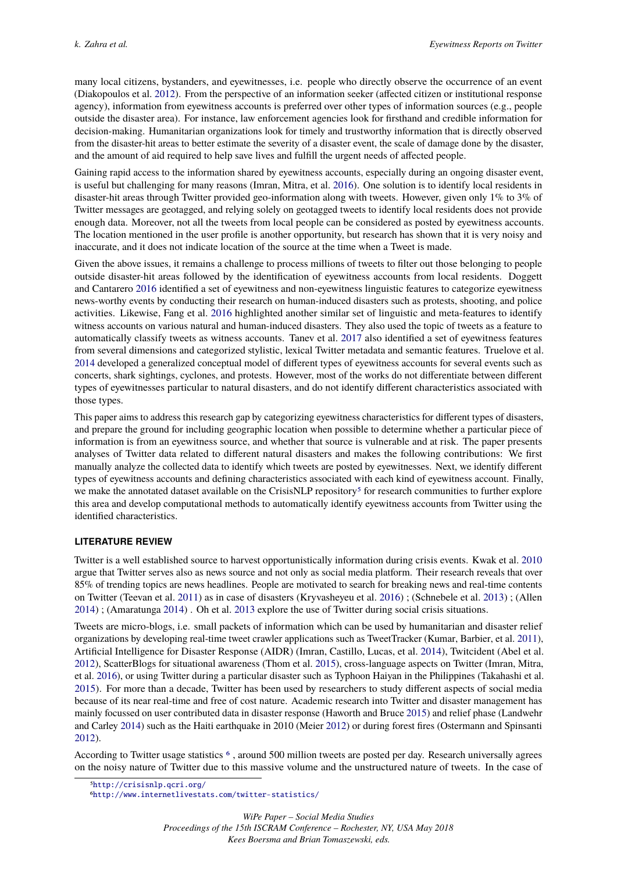many local citizens, bystanders, and eyewitnesses, i.e. people who directly observe the occurrence of an event (Diakopoulos et al. [2012\)](#page-7-1). From the perspective of an information seeker (affected citizen or institutional response agency), information from eyewitness accounts is preferred over other types of information sources (e.g., people outside the disaster area). For instance, law enforcement agencies look for firsthand and credible information for decision-making. Humanitarian organizations look for timely and trustworthy information that is directly observed from the disaster-hit areas to better estimate the severity of a disaster event, the scale of damage done by the disaster, and the amount of aid required to help save lives and fulfill the urgent needs of affected people.

Gaining rapid access to the information shared by eyewitness accounts, especially during an ongoing disaster event, is useful but challenging for many reasons (Imran, Mitra, et al. [2016\)](#page-7-2). One solution is to identify local residents in disaster-hit areas through Twitter provided geo-information along with tweets. However, given only 1% to 3% of Twitter messages are geotagged, and relying solely on geotagged tweets to identify local residents does not provide enough data. Moreover, not all the tweets from local people can be considered as posted by eyewitness accounts. The location mentioned in the user profile is another opportunity, but research has shown that it is very noisy and inaccurate, and it does not indicate location of the source at the time when a Tweet is made.

Given the above issues, it remains a challenge to process millions of tweets to filter out those belonging to people outside disaster-hit areas followed by the identification of eyewitness accounts from local residents. Doggett and Cantarero [2016](#page-7-3) identified a set of eyewitness and non-eyewitness linguistic features to categorize eyewitness news-worthy events by conducting their research on human-induced disasters such as protests, shooting, and police activities. Likewise, Fang et al. [2016](#page-7-4) highlighted another similar set of linguistic and meta-features to identify witness accounts on various natural and human-induced disasters. They also used the topic of tweets as a feature to automatically classify tweets as witness accounts. Tanev et al. [2017](#page-8-1) also identified a set of eyewitness features from several dimensions and categorized stylistic, lexical Twitter metadata and semantic features. Truelove et al. [2014](#page-8-2) developed a generalized conceptual model of different types of eyewitness accounts for several events such as concerts, shark sightings, cyclones, and protests. However, most of the works do not differentiate between different types of eyewitnesses particular to natural disasters, and do not identify different characteristics associated with those types.

This paper aims to address this research gap by categorizing eyewitness characteristics for different types of disasters, and prepare the ground for including geographic location when possible to determine whether a particular piece of information is from an eyewitness source, and whether that source is vulnerable and at risk. The paper presents analyses of Twitter data related to different natural disasters and makes the following contributions: We first manually analyze the collected data to identify which tweets are posted by eyewitnesses. Next, we identify different types of eyewitness accounts and defining characteristics associated with each kind of eyewitness account. Finally, we make the annotated dataset available on the CrisisNLP repository<sup>[5](#page-0-0)</sup> for research communities to further explore this area and develop computational methods to automatically identify eyewitness accounts from Twitter using the identified characteristics.

# **LITERATURE REVIEW**

Twitter is a well established source to harvest opportunistically information during crisis events. Kwak et al. [2010](#page-7-5) argue that Twitter serves also as news source and not only as social media platform. Their research reveals that over 85% of trending topics are news headlines. People are motivated to search for breaking news and real-time contents on Twitter (Teevan et al. [2011\)](#page-8-3) as in case of disasters (Kryvasheyeu et al. [2016\)](#page-7-6) ; (Schnebele et al. [2013\)](#page-8-4) ; (Allen [2014\)](#page-7-7) ; (Amaratunga [2014\)](#page-7-8) . Oh et al. [2013](#page-7-9) explore the use of Twitter during social crisis situations.

Tweets are micro-blogs, i.e. small packets of information which can be used by humanitarian and disaster relief organizations by developing real-time tweet crawler applications such as TweetTracker (Kumar, Barbier, et al. [2011\)](#page-7-10), Artificial Intelligence for Disaster Response (AIDR) (Imran, Castillo, Lucas, et al. [2014\)](#page-7-11), Twitcident (Abel et al. [2012\)](#page-7-12), ScatterBlogs for situational awareness (Thom et al. [2015\)](#page-8-5), cross-language aspects on Twitter (Imran, Mitra, et al. [2016\)](#page-7-2), or using Twitter during a particular disaster such as Typhoon Haiyan in the Philippines (Takahashi et al. [2015\)](#page-8-6). For more than a decade, Twitter has been used by researchers to study different aspects of social media because of its near real-time and free of cost nature. Academic research into Twitter and disaster management has mainly focussed on user contributed data in disaster response (Haworth and Bruce [2015\)](#page-7-13) and relief phase (Landwehr and Carley [2014\)](#page-7-14) such as the Haiti earthquake in 2010 (Meier [2012\)](#page-7-15) or during forest fires (Ostermann and Spinsanti [2012\)](#page-8-7).

According to Twitter usage statistics [6](#page-0-0) , around 500 million tweets are posted per day. Research universally agrees on the noisy nature of Twitter due to this massive volume and the unstructured nature of tweets. In the case of

<sup>5</sup><http://crisisnlp.qcri.org/>

<sup>6</sup><http://www.internetlivestats.com/twitter-statistics/>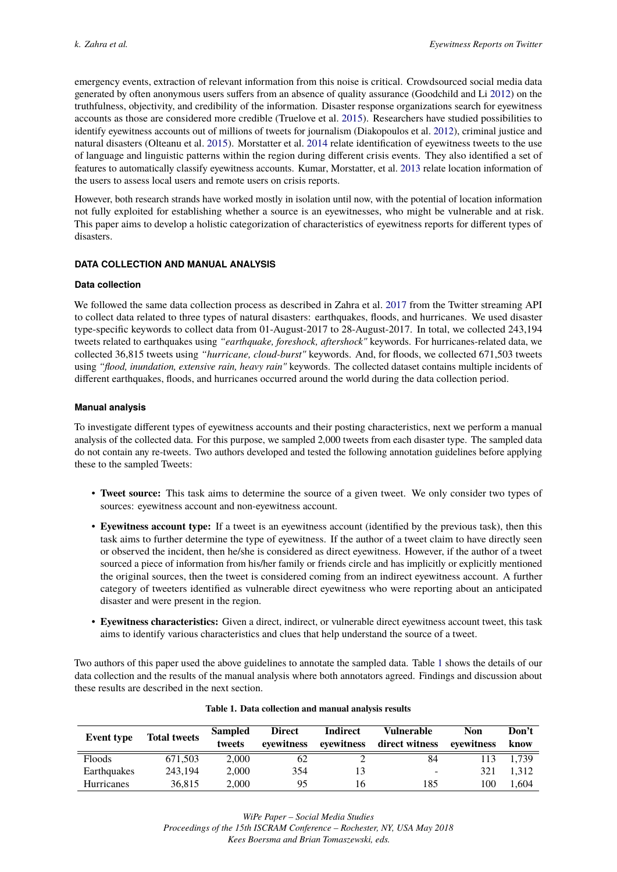emergency events, extraction of relevant information from this noise is critical. Crowdsourced social media data generated by often anonymous users suffers from an absence of quality assurance (Goodchild and Li [2012\)](#page-7-16) on the truthfulness, objectivity, and credibility of the information. Disaster response organizations search for eyewitness accounts as those are considered more credible (Truelove et al. [2015\)](#page-8-8). Researchers have studied possibilities to identify eyewitness accounts out of millions of tweets for journalism (Diakopoulos et al. [2012\)](#page-7-1), criminal justice and natural disasters (Olteanu et al. [2015\)](#page-8-9). Morstatter et al. [2014](#page-7-17) relate identification of eyewitness tweets to the use of language and linguistic patterns within the region during different crisis events. They also identified a set of features to automatically classify eyewitness accounts. Kumar, Morstatter, et al. [2013](#page-7-18) relate location information of the users to assess local users and remote users on crisis reports.

However, both research strands have worked mostly in isolation until now, with the potential of location information not fully exploited for establishing whether a source is an eyewitnesses, who might be vulnerable and at risk. This paper aims to develop a holistic categorization of characteristics of eyewitness reports for different types of disasters.

# **DATA COLLECTION AND MANUAL ANALYSIS**

# **Data collection**

We followed the same data collection process as described in Zahra et al. [2017](#page-8-10) from the Twitter streaming API to collect data related to three types of natural disasters: earthquakes, floods, and hurricanes. We used disaster type-specific keywords to collect data from 01-August-2017 to 28-August-2017. In total, we collected 243,194 tweets related to earthquakes using *"earthquake, foreshock, aftershock"* keywords. For hurricanes-related data, we collected 36,815 tweets using *"hurricane, cloud-burst"* keywords. And, for floods, we collected 671,503 tweets using *"flood, inundation, extensive rain, heavy rain"* keywords. The collected dataset contains multiple incidents of different earthquakes, floods, and hurricanes occurred around the world during the data collection period.

# **Manual analysis**

To investigate different types of eyewitness accounts and their posting characteristics, next we perform a manual analysis of the collected data. For this purpose, we sampled 2,000 tweets from each disaster type. The sampled data do not contain any re-tweets. Two authors developed and tested the following annotation guidelines before applying these to the sampled Tweets:

- **Tweet source:** This task aims to determine the source of a given tweet. We only consider two types of sources: eyewitness account and non-eyewitness account.
- **Eyewitness account type:** If a tweet is an eyewitness account (identified by the previous task), then this task aims to further determine the type of eyewitness. If the author of a tweet claim to have directly seen or observed the incident, then he/she is considered as direct eyewitness. However, if the author of a tweet sourced a piece of information from his/her family or friends circle and has implicitly or explicitly mentioned the original sources, then the tweet is considered coming from an indirect eyewitness account. A further category of tweeters identified as vulnerable direct eyewitness who were reporting about an anticipated disaster and were present in the region.
- **Eyewitness characteristics:** Given a direct, indirect, or vulnerable direct eyewitness account tweet, this task aims to identify various characteristics and clues that help understand the source of a tweet.

Two authors of this paper used the above guidelines to annotate the sampled data. Table [1](#page-2-0) shows the details of our data collection and the results of the manual analysis where both annotators agreed. Findings and discussion about these results are described in the next section.

<span id="page-2-0"></span>

| <b>Event</b> type | <b>Total tweets</b> | <b>Sampled</b><br>tweets | <b>Direct</b><br>evewitness | Indirect<br>evewitness | Vulnerable<br>direct witness | <b>Non</b><br>evewitness | Don't<br>know |
|-------------------|---------------------|--------------------------|-----------------------------|------------------------|------------------------------|--------------------------|---------------|
| Floods            | 671.503             | 2.000                    | 62                          |                        | 84                           | 113                      | 1.739         |
| Earthquakes       | 243.194             | 2.000                    | 354                         | 13                     | -                            | 321                      | 1.312         |
| <b>Hurricanes</b> | 36,815              | 2.000                    | 95                          | 16                     | 185                          | 100                      | 1.604         |

#### **Table 1. Data collection and manual analysis results**

*Proceedings of the 15th ISCRAM Conference – Rochester, NY, USA May 2018 Kees Boersma and Brian Tomaszewski, eds.*

*WiPe Paper – Social Media Studies*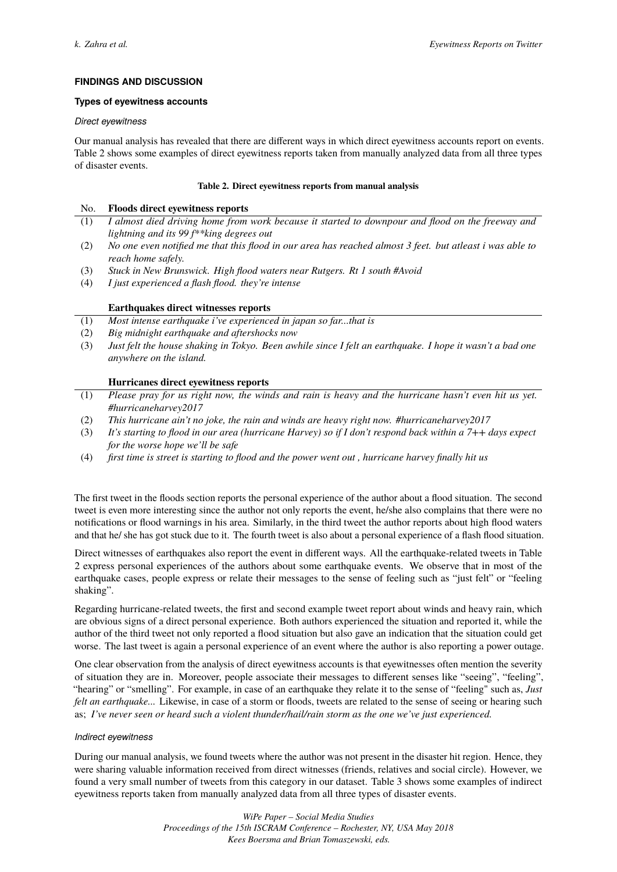# **FINDINGS AND DISCUSSION**

# **Types of eyewitness accounts**

#### *Direct eyewitness*

Our manual analysis has revealed that there are different ways in which direct eyewitness accounts report on events. Table 2 shows some examples of direct eyewitness reports taken from manually analyzed data from all three types of disaster events.

#### **Table 2. Direct eyewitness reports from manual analysis**

# No. **Floods direct eyewitness reports**

- (1) *I almost died driving home from work because it started to downpour and flood on the freeway and lightning and its 99 f\*\*king degrees out*
- (2) *No one even notified me that this flood in our area has reached almost 3 feet. but atleast i was able to reach home safely.*
- (3) *Stuck in New Brunswick. High flood waters near Rutgers. Rt 1 south #Avoid*
- (4) *I just experienced a flash flood. they're intense*

# **Earthquakes direct witnesses reports**

- (1) *Most intense earthquake i've experienced in japan so far...that is*
- (2) *Big midnight earthquake and aftershocks now*
- (3) *Just felt the house shaking in Tokyo. Been awhile since I felt an earthquake. I hope it wasn't a bad one anywhere on the island.*

# **Hurricanes direct eyewitness reports**

- (1) *Please pray for us right now, the winds and rain is heavy and the hurricane hasn't even hit us yet. #hurricaneharvey2017*
- (2) *This hurricane ain't no joke, the rain and winds are heavy right now. #hurricaneharvey2017*
- (3) *It's starting to flood in our area (hurricane Harvey) so if I don't respond back within a 7++ days expect for the worse hope we'll be safe*
- (4) *first time is street is starting to flood and the power went out , hurricane harvey finally hit us*

The first tweet in the floods section reports the personal experience of the author about a flood situation. The second tweet is even more interesting since the author not only reports the event, he/she also complains that there were no notifications or flood warnings in his area. Similarly, in the third tweet the author reports about high flood waters and that he/ she has got stuck due to it. The fourth tweet is also about a personal experience of a flash flood situation.

Direct witnesses of earthquakes also report the event in different ways. All the earthquake-related tweets in Table 2 express personal experiences of the authors about some earthquake events. We observe that in most of the earthquake cases, people express or relate their messages to the sense of feeling such as "just felt" or "feeling shaking".

Regarding hurricane-related tweets, the first and second example tweet report about winds and heavy rain, which are obvious signs of a direct personal experience. Both authors experienced the situation and reported it, while the author of the third tweet not only reported a flood situation but also gave an indication that the situation could get worse. The last tweet is again a personal experience of an event where the author is also reporting a power outage.

One clear observation from the analysis of direct eyewitness accounts is that eyewitnesses often mention the severity of situation they are in. Moreover, people associate their messages to different senses like "seeing", "feeling", "hearing" or "smelling". For example, in case of an earthquake they relate it to the sense of "feeling" such as, *Just felt an earthquake...* Likewise, in case of a storm or floods, tweets are related to the sense of seeing or hearing such as; *I've never seen or heard such a violent thunder/hail/rain storm as the one we've just experienced.*

# *Indirect eyewitness*

During our manual analysis, we found tweets where the author was not present in the disaster hit region. Hence, they were sharing valuable information received from direct witnesses (friends, relatives and social circle). However, we found a very small number of tweets from this category in our dataset. Table 3 shows some examples of indirect eyewitness reports taken from manually analyzed data from all three types of disaster events.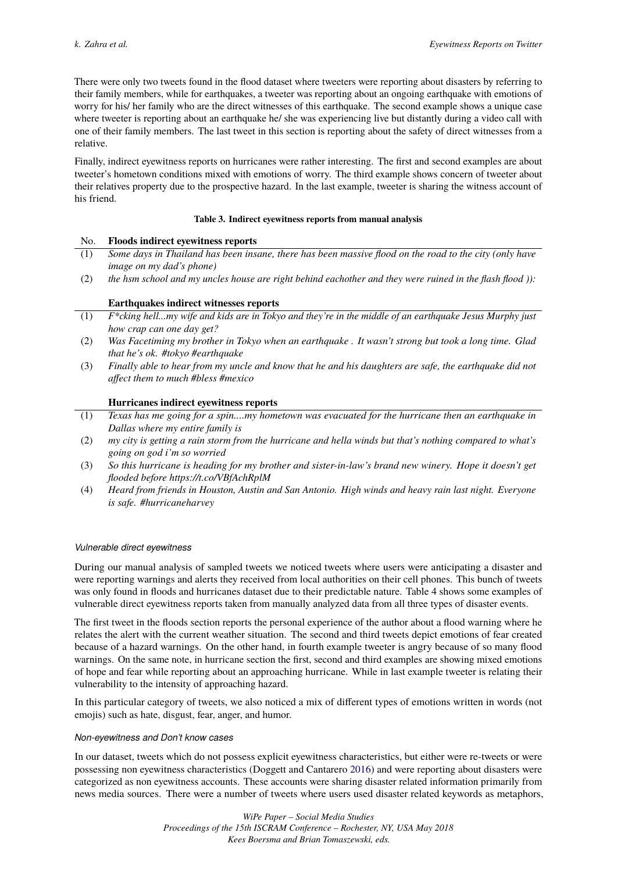There were only two tweets found in the flood dataset where tweeters were reporting about disasters by referring to their family members, while for earthquakes, a tweeter was reporting about an ongoing earthquake with emotions of worry for his/ her family who are the direct witnesses of this earthquake. The second example shows a unique case where tweeter is reporting about an earthquake he/ she was experiencing live but distantly during a video call with one of their family members. The last tweet in this section is reporting about the safety of direct witnesses from a relative.

Finally, indirect eyewitness reports on hurricanes were rather interesting. The first and second examples are about tweeter's hometown conditions mixed with emotions of worry. The third example shows concern of tweeter about their relatives property due to the prospective hazard. In the last example, tweeter is sharing the witness account of his friend.

#### **Table 3. Indirect eyewitness reports from manual analysis**

#### No. **Floods indirect eyewitness reports**

- (1) *Some days in Thailand has been insane, there has been massive flood on the road to the city (only have image on my dad's phone)*
- (2) *the hsm school and my uncles house are right behind eachother and they were ruined in the flash flood )):*

# **Earthquakes indirect witnesses reports**

- (1) *F\*cking hell...my wife and kids are in Tokyo and they're in the middle of an earthquake Jesus Murphy just how crap can one day get?*
- (2) *Was Facetiming my brother in Tokyo when an earthquake . It wasn't strong but took a long time. Glad that he's ok. #tokyo #earthquake*
- (3) *Finally able to hear from my uncle and know that he and his daughters are safe, the earthquake did not affect them to much #bless #mexico*

#### **Hurricanes indirect eyewitness reports**

- (1) *Texas has me going for a spin....my hometown was evacuated for the hurricane then an earthquake in Dallas where my entire family is*
- (2) *my city is getting a rain storm from the hurricane and hella winds but that's nothing compared to what's going on god i'm so worried*
- (3) *So this hurricane is heading for my brother and sister-in-law's brand new winery. Hope it doesn't get flooded before https://t.co/VBfAchRplM*
- (4) *Heard from friends in Houston, Austin and San Antonio. High winds and heavy rain last night. Everyone is safe. #hurricaneharvey*

#### *Vulnerable direct eyewitness*

During our manual analysis of sampled tweets we noticed tweets where users were anticipating a disaster and were reporting warnings and alerts they received from local authorities on their cell phones. This bunch of tweets was only found in floods and hurricanes dataset due to their predictable nature. Table 4 shows some examples of vulnerable direct eyewitness reports taken from manually analyzed data from all three types of disaster events.

The first tweet in the floods section reports the personal experience of the author about a flood warning where he relates the alert with the current weather situation. The second and third tweets depict emotions of fear created because of a hazard warnings. On the other hand, in fourth example tweeter is angry because of so many flood warnings. On the same note, in hurricane section the first, second and third examples are showing mixed emotions of hope and fear while reporting about an approaching hurricane. While in last example tweeter is relating their vulnerability to the intensity of approaching hazard.

In this particular category of tweets, we also noticed a mix of different types of emotions written in words (not emojis) such as hate, disgust, fear, anger, and humor.

#### *Non-eyewitness and Don't know cases*

In our dataset, tweets which do not possess explicit eyewitness characteristics, but either were re-tweets or were possessing non eyewitness characteristics (Doggett and Cantarero [2016\)](#page-7-3) and were reporting about disasters were categorized as non eyewitness accounts. These accounts were sharing disaster related information primarily from news media sources. There were a number of tweets where users used disaster related keywords as metaphors,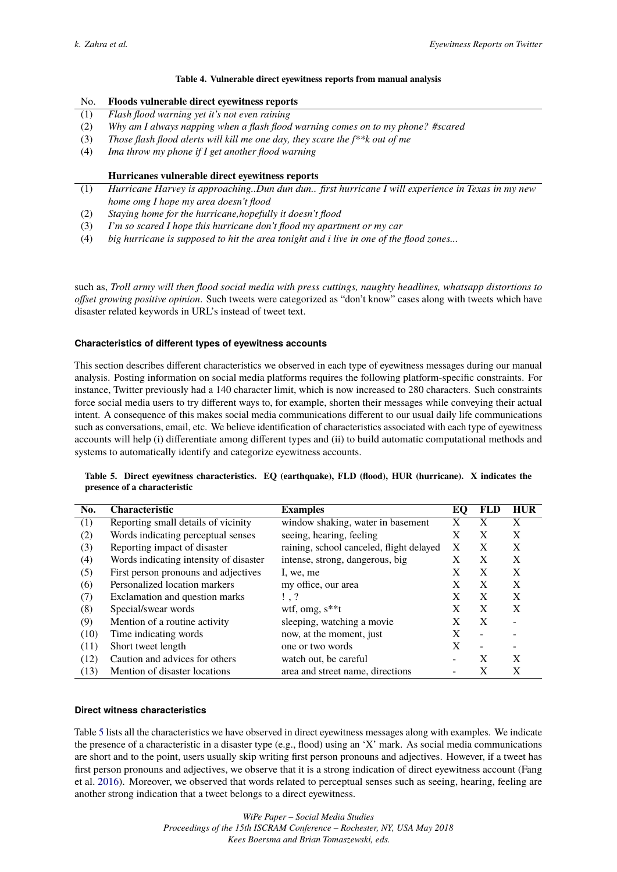#### **Table 4. Vulnerable direct eyewitness reports from manual analysis**

| No. | Floods vulnerable direct eyewitness reports |  |
|-----|---------------------------------------------|--|
|-----|---------------------------------------------|--|

- (1) *Flash flood warning yet it's not even raining*
- (2) *Why am I always napping when a flash flood warning comes on to my phone? #scared*
- (3) *Those flash flood alerts will kill me one day, they scare the f\*\*k out of me*
- (4) *Ima throw my phone if I get another flood warning*

#### **Hurricanes vulnerable direct eyewitness reports**

- (1) *Hurricane Harvey is approaching..Dun dun dun.. first hurricane I will experience in Texas in my new home omg I hope my area doesn't flood*
- (2) *Staying home for the hurricane,hopefully it doesn't flood*
- (3) *I'm so scared I hope this hurricane don't flood my apartment or my car*
- (4) *big hurricane is supposed to hit the area tonight and i live in one of the flood zones...*

such as, *Troll army will then flood social media with press cuttings, naughty headlines, whatsapp distortions to offset growing positive opinion*. Such tweets were categorized as "don't know" cases along with tweets which have disaster related keywords in URL's instead of tweet text.

#### **Characteristics of different types of eyewitness accounts**

This section describes different characteristics we observed in each type of eyewitness messages during our manual analysis. Posting information on social media platforms requires the following platform-specific constraints. For instance, Twitter previously had a 140 character limit, which is now increased to 280 characters. Such constraints force social media users to try different ways to, for example, shorten their messages while conveying their actual intent. A consequence of this makes social media communications different to our usual daily life communications such as conversations, email, etc. We believe identification of characteristics associated with each type of eyewitness accounts will help (i) differentiate among different types and (ii) to build automatic computational methods and systems to automatically identify and categorize eyewitness accounts.

<span id="page-5-0"></span>

| Table 5. Direct eyewitness characteristics. EQ (earthquake), FLD (flood), HUR (hurricane). X indicates the |  |  |  |
|------------------------------------------------------------------------------------------------------------|--|--|--|
| presence of a characteristic                                                                               |  |  |  |

| No.  | <b>Characteristic</b>                  | <b>Examples</b>                          | EО | FLD                      | <b>HUR</b> |
|------|----------------------------------------|------------------------------------------|----|--------------------------|------------|
| (1)  | Reporting small details of vicinity    | window shaking, water in basement        | X  | X                        | X          |
| (2)  | Words indicating perceptual senses     | seeing, hearing, feeling                 | X  | X                        | X          |
| (3)  | Reporting impact of disaster           | raining, school canceled, flight delayed | X  | X                        | X          |
| (4)  | Words indicating intensity of disaster | intense, strong, dangerous, big          | X  | X                        | X          |
| (5)  | First person pronouns and adjectives   | I, we, me                                | X  | X                        | X          |
| (6)  | Personalized location markers          | my office, our area                      |    | X                        | X          |
| (7)  | Exclamation and question marks         | $\frac{1}{2}$ .                          | X  | X                        | X          |
| (8)  | Special/swear words                    | wtf, omg, $s**t$                         | X  | X                        | X          |
| (9)  | Mention of a routine activity          | sleeping, watching a movie               |    | X                        | ۰          |
| (10) | Time indicating words                  | now, at the moment, just                 |    | $\overline{\phantom{0}}$ |            |
| (11) | Short tweet length                     | one or two words                         | X  |                          |            |
| (12) | Caution and advices for others         | watch out, be careful                    |    | X                        | X          |
| (13) | Mention of disaster locations          | area and street name, directions         |    | X                        | X          |

# **Direct witness characteristics**

Table [5](#page-5-0) lists all the characteristics we have observed in direct eyewitness messages along with examples. We indicate the presence of a characteristic in a disaster type (e.g., flood) using an 'X' mark. As social media communications are short and to the point, users usually skip writing first person pronouns and adjectives. However, if a tweet has first person pronouns and adjectives, we observe that it is a strong indication of direct eyewitness account (Fang et al. [2016\)](#page-7-4). Moreover, we observed that words related to perceptual senses such as seeing, hearing, feeling are another strong indication that a tweet belongs to a direct eyewitness.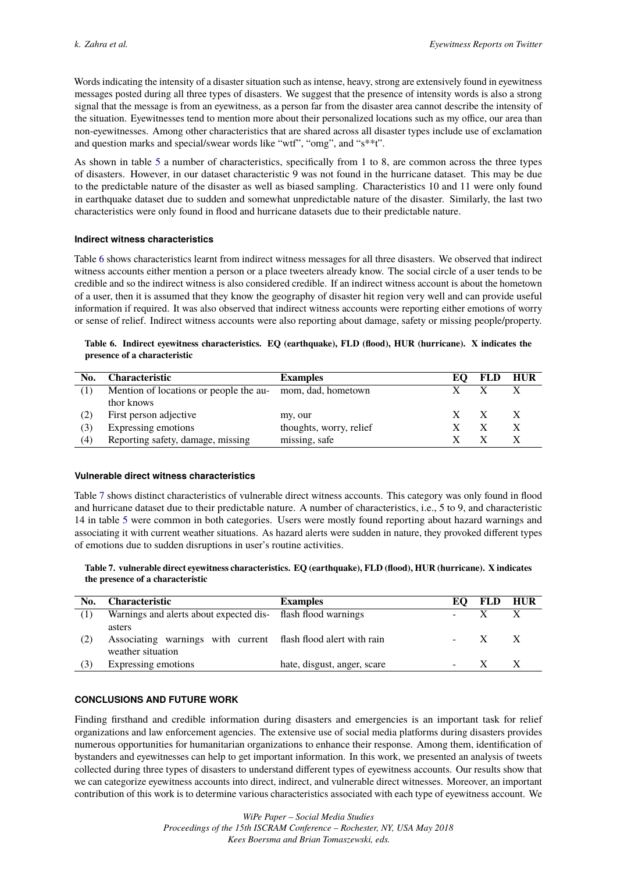Words indicating the intensity of a disaster situation such as intense, heavy, strong are extensively found in eyewitness messages posted during all three types of disasters. We suggest that the presence of intensity words is also a strong signal that the message is from an eyewitness, as a person far from the disaster area cannot describe the intensity of the situation. Eyewitnesses tend to mention more about their personalized locations such as my office, our area than non-eyewitnesses. Among other characteristics that are shared across all disaster types include use of exclamation and question marks and special/swear words like "wtf", "omg", and "s\*\*t".

As shown in table [5](#page-5-0) a number of characteristics, specifically from 1 to 8, are common across the three types of disasters. However, in our dataset characteristic 9 was not found in the hurricane dataset. This may be due to the predictable nature of the disaster as well as biased sampling. Characteristics 10 and 11 were only found in earthquake dataset due to sudden and somewhat unpredictable nature of the disaster. Similarly, the last two characteristics were only found in flood and hurricane datasets due to their predictable nature.

# **Indirect witness characteristics**

Table [6](#page-6-0) shows characteristics learnt from indirect witness messages for all three disasters. We observed that indirect witness accounts either mention a person or a place tweeters already know. The social circle of a user tends to be credible and so the indirect witness is also considered credible. If an indirect witness account is about the hometown of a user, then it is assumed that they know the geography of disaster hit region very well and can provide useful information if required. It was also observed that indirect witness accounts were reporting either emotions of worry or sense of relief. Indirect witness accounts were also reporting about damage, safety or missing people/property.

#### <span id="page-6-0"></span>**Table 6. Indirect eyewitness characteristics. EQ (earthquake), FLD (flood), HUR (hurricane). X indicates the presence of a characteristic**

| No. | <b>Characteristic</b>                                     | <b>Examples</b>         |    | <b>FLD</b> | <b>HUR</b> |
|-----|-----------------------------------------------------------|-------------------------|----|------------|------------|
| (1) | Mention of locations or people the au- mom, dad, hometown |                         |    |            |            |
|     | thor knows                                                |                         |    |            |            |
| (2) | First person adjective                                    | my, our                 | X. |            |            |
| (3) | Expressing emotions                                       | thoughts, worry, relief |    |            |            |
| (4) | Reporting safety, damage, missing                         | missing, safe           |    |            |            |

#### **Vulnerable direct witness characteristics**

Table [7](#page-6-1) shows distinct characteristics of vulnerable direct witness accounts. This category was only found in flood and hurricane dataset due to their predictable nature. A number of characteristics, i.e., 5 to 9, and characteristic 14 in table [5](#page-5-0) were common in both categories. Users were mostly found reporting about hazard warnings and associating it with current weather situations. As hazard alerts were sudden in nature, they provoked different types of emotions due to sudden disruptions in user's routine activities.

#### <span id="page-6-1"></span>**Table 7. vulnerable direct eyewitness characteristics. EQ (earthquake), FLD (flood), HUR (hurricane). X indicates the presence of a characteristic**

| No. | <b>Characteristic</b>                                                                        | <b>Examples</b>             | EO.   | FLD HUR |  |
|-----|----------------------------------------------------------------------------------------------|-----------------------------|-------|---------|--|
|     | Warnings and alerts about expected dis-<br>flash flood warnings                              |                             |       |         |  |
| (2) | asters<br>Associating warnings with current flash flood alert with rain<br>weather situation |                             | $- X$ |         |  |
| (3) | Expressing emotions                                                                          | hate, disgust, anger, scare |       |         |  |

# **CONCLUSIONS AND FUTURE WORK**

Finding firsthand and credible information during disasters and emergencies is an important task for relief organizations and law enforcement agencies. The extensive use of social media platforms during disasters provides numerous opportunities for humanitarian organizations to enhance their response. Among them, identification of bystanders and eyewitnesses can help to get important information. In this work, we presented an analysis of tweets collected during three types of disasters to understand different types of eyewitness accounts. Our results show that we can categorize eyewitness accounts into direct, indirect, and vulnerable direct witnesses. Moreover, an important contribution of this work is to determine various characteristics associated with each type of eyewitness account. We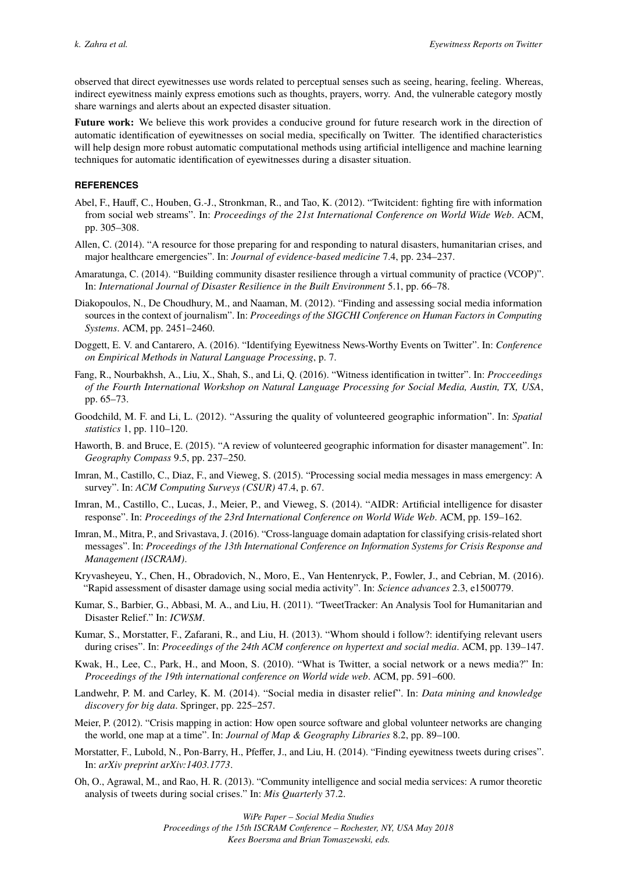observed that direct eyewitnesses use words related to perceptual senses such as seeing, hearing, feeling. Whereas, indirect eyewitness mainly express emotions such as thoughts, prayers, worry. And, the vulnerable category mostly share warnings and alerts about an expected disaster situation.

**Future work:** We believe this work provides a conducive ground for future research work in the direction of automatic identification of eyewitnesses on social media, specifically on Twitter. The identified characteristics will help design more robust automatic computational methods using artificial intelligence and machine learning techniques for automatic identification of eyewitnesses during a disaster situation.

#### **REFERENCES**

- <span id="page-7-12"></span>Abel, F., Hauff, C., Houben, G.-J., Stronkman, R., and Tao, K. (2012). "Twitcident: fighting fire with information from social web streams". In: *Proceedings of the 21st International Conference on World Wide Web*. ACM, pp. 305–308.
- <span id="page-7-7"></span>Allen, C. (2014). "A resource for those preparing for and responding to natural disasters, humanitarian crises, and major healthcare emergencies". In: *Journal of evidence-based medicine* 7.4, pp. 234–237.
- <span id="page-7-8"></span>Amaratunga, C. (2014). "Building community disaster resilience through a virtual community of practice (VCOP)". In: *International Journal of Disaster Resilience in the Built Environment* 5.1, pp. 66–78.
- <span id="page-7-1"></span>Diakopoulos, N., De Choudhury, M., and Naaman, M. (2012). "Finding and assessing social media information sources in the context of journalism". In: *Proceedings of the SIGCHI Conference on Human Factors in Computing Systems*. ACM, pp. 2451–2460.
- <span id="page-7-3"></span>Doggett, E. V. and Cantarero, A. (2016). "Identifying Eyewitness News-Worthy Events on Twitter". In: *Conference on Empirical Methods in Natural Language Processing*, p. 7.
- <span id="page-7-4"></span>Fang, R., Nourbakhsh, A., Liu, X., Shah, S., and Li, Q. (2016). "Witness identification in twitter". In: *Procceedings of the Fourth International Workshop on Natural Language Processing for Social Media, Austin, TX, USA*, pp. 65–73.
- <span id="page-7-16"></span>Goodchild, M. F. and Li, L. (2012). "Assuring the quality of volunteered geographic information". In: *Spatial statistics* 1, pp. 110–120.
- <span id="page-7-13"></span>Haworth, B. and Bruce, E. (2015). "A review of volunteered geographic information for disaster management". In: *Geography Compass* 9.5, pp. 237–250.
- <span id="page-7-0"></span>Imran, M., Castillo, C., Diaz, F., and Vieweg, S. (2015). "Processing social media messages in mass emergency: A survey". In: *ACM Computing Surveys (CSUR)* 47.4, p. 67.
- <span id="page-7-11"></span>Imran, M., Castillo, C., Lucas, J., Meier, P., and Vieweg, S. (2014). "AIDR: Artificial intelligence for disaster response". In: *Proceedings of the 23rd International Conference on World Wide Web*. ACM, pp. 159–162.
- <span id="page-7-2"></span>Imran, M., Mitra, P., and Srivastava, J. (2016). "Cross-language domain adaptation for classifying crisis-related short messages". In: *Proceedings of the 13th International Conference on Information Systems for Crisis Response and Management (ISCRAM)*.
- <span id="page-7-6"></span>Kryvasheyeu, Y., Chen, H., Obradovich, N., Moro, E., Van Hentenryck, P., Fowler, J., and Cebrian, M. (2016). "Rapid assessment of disaster damage using social media activity". In: *Science advances* 2.3, e1500779.
- <span id="page-7-10"></span>Kumar, S., Barbier, G., Abbasi, M. A., and Liu, H. (2011). "TweetTracker: An Analysis Tool for Humanitarian and Disaster Relief." In: *ICWSM*.
- <span id="page-7-18"></span>Kumar, S., Morstatter, F., Zafarani, R., and Liu, H. (2013). "Whom should i follow?: identifying relevant users during crises". In: *Proceedings of the 24th ACM conference on hypertext and social media*. ACM, pp. 139–147.
- <span id="page-7-5"></span>Kwak, H., Lee, C., Park, H., and Moon, S. (2010). "What is Twitter, a social network or a news media?" In: *Proceedings of the 19th international conference on World wide web*. ACM, pp. 591–600.
- <span id="page-7-14"></span>Landwehr, P. M. and Carley, K. M. (2014). "Social media in disaster relief". In: *Data mining and knowledge discovery for big data*. Springer, pp. 225–257.
- <span id="page-7-15"></span>Meier, P. (2012). "Crisis mapping in action: How open source software and global volunteer networks are changing the world, one map at a time". In: *Journal of Map & Geography Libraries* 8.2, pp. 89–100.
- <span id="page-7-17"></span>Morstatter, F., Lubold, N., Pon-Barry, H., Pfeffer, J., and Liu, H. (2014). "Finding eyewitness tweets during crises". In: *arXiv preprint arXiv:1403.1773*.
- <span id="page-7-9"></span>Oh, O., Agrawal, M., and Rao, H. R. (2013). "Community intelligence and social media services: A rumor theoretic analysis of tweets during social crises." In: *Mis Quarterly* 37.2.